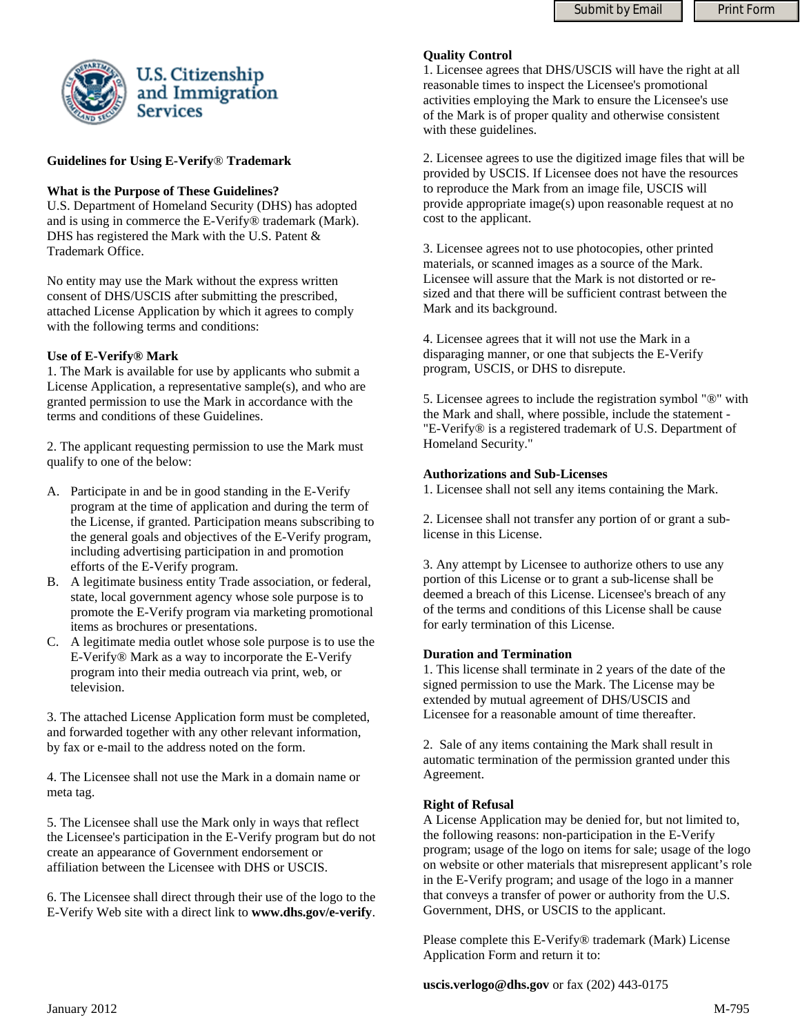

### **Guidelines for Using E-Verify**® **Trademark**

### **What is the Purpose of These Guidelines?**

U.S. Department of Homeland Security (DHS) has adopted and is using in commerce the E-Verify® trademark (Mark). DHS has registered the Mark with the U.S. Patent & Trademark Office.

No entity may use the Mark without the express written consent of DHS/USCIS after submitting the prescribed, attached License Application by which it agrees to comply with the following terms and conditions:

### **Use of E-Verify® Mark**

1. The Mark is available for use by applicants who submit a License Application, a representative sample(s), and who are granted permission to use the Mark in accordance with the terms and conditions of these Guidelines.

2. The applicant requesting permission to use the Mark must qualify to one of the below:

- A. Participate in and be in good standing in the E-Verify program at the time of application and during the term of the License, if granted. Participation means subscribing to the general goals and objectives of the E-Verify program, including advertising participation in and promotion efforts of the E-Verify program.
- B. A legitimate business entity Trade association, or federal, state, local government agency whose sole purpose is to promote the E-Verify program via marketing promotional items as brochures or presentations.
- C. A legitimate media outlet whose sole purpose is to use the E-Verify® Mark as a way to incorporate the E-Verify program into their media outreach via print, web, or television.

3. The attached License Application form must be completed, and forwarded together with any other relevant information, by fax or e-mail to the address noted on the form.

4. The Licensee shall not use the Mark in a domain name or meta tag.

5. The Licensee shall use the Mark only in ways that reflect the Licensee's participation in the E-Verify program but do not create an appearance of Government endorsement or affiliation between the Licensee with DHS or USCIS.

6. The Licensee shall direct through their use of the logo to the E-Verify Web site with a direct link to **www.dhs.gov/e-verify**.

#### **Quality Control**

1. Licensee agrees that DHS/USCIS will have the right at all reasonable times to inspect the Licensee's promotional activities employing the Mark to ensure the Licensee's use of the Mark is of proper quality and otherwise consistent with these guidelines.

2. Licensee agrees to use the digitized image files that will be provided by USCIS. If Licensee does not have the resources to reproduce the Mark from an image file, USCIS will provide appropriate image(s) upon reasonable request at no cost to the applicant.

3. Licensee agrees not to use photocopies, other printed materials, or scanned images as a source of the Mark. Licensee will assure that the Mark is not distorted or resized and that there will be sufficient contrast between the Mark and its background.

4. Licensee agrees that it will not use the Mark in a disparaging manner, or one that subjects the E-Verify program, USCIS, or DHS to disrepute.

5. Licensee agrees to include the registration symbol "®" with the Mark and shall, where possible, include the statement - "E-Verify® is a registered trademark of U.S. Department of Homeland Security."

### **Authorizations and Sub-Licenses**

1. Licensee shall not sell any items containing the Mark.

2. Licensee shall not transfer any portion of or grant a sublicense in this License.

3. Any attempt by Licensee to authorize others to use any portion of this License or to grant a sub-license shall be deemed a breach of this License. Licensee's breach of any of the terms and conditions of this License shall be cause for early termination of this License.

### **Duration and Termination**

1. This license shall terminate in 2 years of the date of the signed permission to use the Mark. The License may be extended by mutual agreement of DHS/USCIS and Licensee for a reasonable amount of time thereafter.

2. Sale of any items containing the Mark shall result in automatic termination of the permission granted under this Agreement.

### **Right of Refusal**

A License Application may be denied for, but not limited to, the following reasons: non-participation in the E-Verify program; usage of the logo on items for sale; usage of the logo on website or other materials that misrepresent applicant's role in the E-Verify program; and usage of the logo in a manner that conveys a transfer of power or authority from the U.S. Government, DHS, or USCIS to the applicant.

Please complete this E-Verify® trademark (Mark) License Application Form and return it to:

**uscis.verlogo@dhs.gov** or fax (202) 443-0175